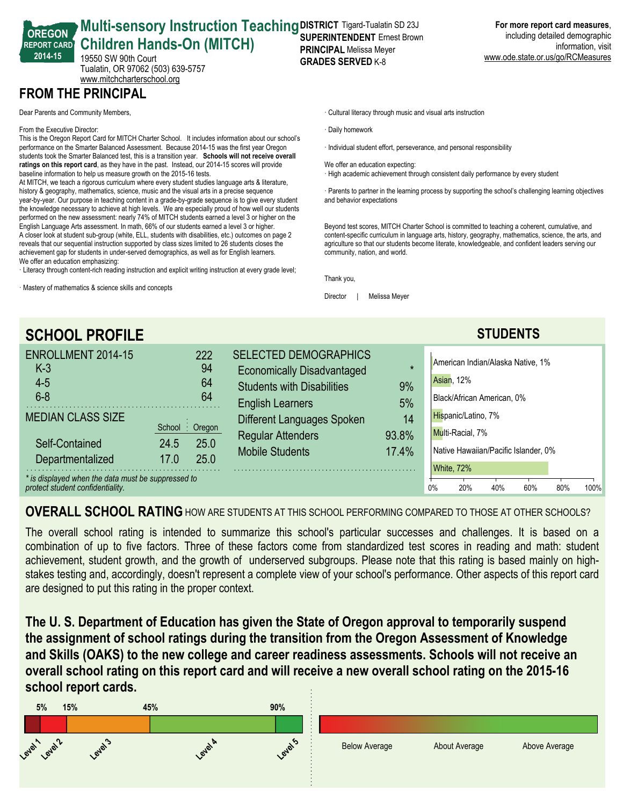#### **OREGON REPORT CARD 201415 Multi-sensory Instruction Teaching DISTRICT Tigard-Tualatin SD 23J Children Hands-On (MITCH)** 19550 SW 90th Court Tualatin, OR 97062 (503) 639-5757 **SUPERINTENDENT** Ernest Brown **PRINCIPAL** Melissa Meyer **GRADES SERVED K-8**

**For more report card measures**, including detailed demographic information, visit www.ode.state.or.us/go/RCMeasures

**FROM THE PRINCIPAL**

Dear Parents and Community Members,

From the Executive Director:

This is the Oregon Report Card for MITCH Charter School. It includes information about our school's performance on the Smarter Balanced Assessment. Because 2014-15 was the first year Oregon students took the Smarter Balanced test, this is a transition year. **Schools will not receive overall** ratings on this report card, as they have in the past. Instead, our 2014-15 scores will provide baseline information to help us measure growth on the 2015-16 tests.

<www.mitchcharterschool.org>

At MITCH, we teach a rigorous curriculum where every student studies language arts & literature, history & geography, mathematics, science, music and the visual arts in a precise sequence year-by-year. Our purpose in teaching content in a grade-by-grade sequence is to give every student the knowledge necessary to achieve at high levels. We are especially proud of how well our students performed on the new assessment: nearly 74% of MITCH students earned a level 3 or higher on the English Language Arts assessment. In math, 66% of our students earned a level 3 or higher. A closer look at student sub-group (white, ELL, students with disabilities, etc.) outcomes on page 2 reveals that our sequential instruction supported by class sizes limited to 26 students closes the achievement gap for students in under-served demographics, as well as for English learners. We offer an education emphasizing:

· Literacy through content-rich reading instruction and explicit writing instruction at every grade level;

· Mastery of mathematics & science skills and concepts

· Cultural literacy through music and visual arts instruction

· Daily homework

· Individual student effort, perseverance, and personal responsibility

We offer an education expecting:

· High academic achievement through consistent daily performance by every student

· Parents to partner in the learning process by supporting the school's challenging learning objectives and behavior expectations

Beyond test scores, MITCH Charter School is committed to teaching a coherent, cumulative, and content-specific curriculum in language arts, history, geography, mathematics, science, the arts, and agriculture so that our students become literate, knowledgeable, and confident leaders serving our community, nation, and world.

Thank you,

Director | Melissa Meyer

| <b>SCHOOL PROFILE</b>                                                                                                |                                                |                                                                                                                                   |                      | <b>STUDENTS</b>                                                                                      |  |  |  |  |
|----------------------------------------------------------------------------------------------------------------------|------------------------------------------------|-----------------------------------------------------------------------------------------------------------------------------------|----------------------|------------------------------------------------------------------------------------------------------|--|--|--|--|
| ENROLLMENT 2014-15<br>$K-3$<br>$4 - 5$<br>$6 - 8$                                                                    | 222<br>94<br>64<br>64                          | <b>SELECTED DEMOGRAPHICS</b><br><b>Economically Disadvantaged</b><br><b>Students with Disabilities</b><br><b>English Learners</b> | $\star$<br>9%<br>5%  | American Indian/Alaska Native, 1%<br>Asian, 12%<br>Black/African American, 0%                        |  |  |  |  |
| <b>MEDIAN CLASS SIZE</b><br>Self-Contained<br>Departmentalized<br>* is displayed when the data must be suppressed to | School: Oregon<br>25.0<br>24.5<br>25.0<br>17.0 | Different Languages Spoken<br><b>Regular Attenders</b><br>Mobile Students                                                         | 14<br>93.8%<br>17.4% | Hispanic/Latino, 7%<br>Multi-Racial, 7%<br>Native Hawaiian/Pacific Islander, 0%<br><b>White, 72%</b> |  |  |  |  |
| protect student confidentiality.                                                                                     |                                                | 0%<br>100%<br>20%<br>40%<br>60%<br>80%                                                                                            |                      |                                                                                                      |  |  |  |  |

**OVERALL SCHOOL RATING**HOW ARE STUDENTS AT THIS SCHOOL PERFORMING COMPARED TO THOSE AT OTHER SCHOOLS?

The overall school rating is intended to summarize this school's particular successes and challenges. It is based on a combination of up to five factors. Three of these factors come from standardized test scores in reading and math: student achievement, student growth, and the growth of underserved subgroups. Please note that this rating is based mainly on highstakes testing and, accordingly, doesn't represent a complete view of your school's performance. Other aspects of this report card are designed to put this rating in the proper context.

**The U. S. Department of Education has given the State of Oregon approval to temporarily suspend the assignment of school ratings during the transition from the Oregon Assessment of Knowledge and Skills (OAKS) to the new college and career readiness assessments. Schools will not receive an overall school rating on this report card and will receive a new overall school rating on the 201516 school report cards.**

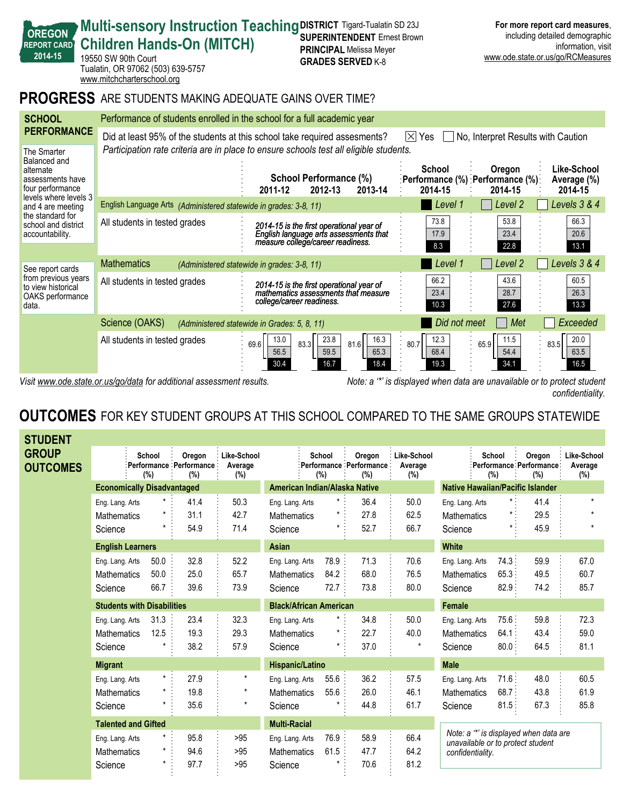|                                                                  | <b>REPORT CARD</b><br>2014-15                                          | <b>Children Hands-On (MITCH)</b><br>19550 SW 90th Court<br>Tualatin, OR 97062 (503) 639-5757<br>www.mitchcharterschool.org                                                                                                             | <b>SUPERINIENDENI</b> EIIIESLDIUWII<br><b>PRINCIPAL Melissa Meyer</b><br><b>GRADES SERVED K-8</b>                       |                                                                          | muuumiy uuumuu uumuyrupmu<br>information, visit<br>www.ode.state.or.us/go/RCMeasures |                                       |  |  |  |  |  |
|------------------------------------------------------------------|------------------------------------------------------------------------|----------------------------------------------------------------------------------------------------------------------------------------------------------------------------------------------------------------------------------------|-------------------------------------------------------------------------------------------------------------------------|--------------------------------------------------------------------------|--------------------------------------------------------------------------------------|---------------------------------------|--|--|--|--|--|
| <b>PROGRESS</b><br>ARE STUDENTS MAKING ADEQUATE GAINS OVER TIME? |                                                                        |                                                                                                                                                                                                                                        |                                                                                                                         |                                                                          |                                                                                      |                                       |  |  |  |  |  |
|                                                                  | <b>SCHOOL</b>                                                          |                                                                                                                                                                                                                                        | Performance of students enrolled in the school for a full academic year                                                 |                                                                          |                                                                                      |                                       |  |  |  |  |  |
| <b>PERFORMANCE</b><br>The Smarter                                |                                                                        | Did at least 95% of the students at this school take required assesments?<br>$ \overline{\times} $ Yes<br>No, Interpret Results with Caution<br>Participation rate criteria are in place to ensure schools test all eligible students. |                                                                                                                         |                                                                          |                                                                                      |                                       |  |  |  |  |  |
|                                                                  | Balanced and<br>alternate<br>assessments have<br>four performance      |                                                                                                                                                                                                                                        | School Performance (%)<br>2011-12<br>2012-13<br>2013-14                                                                 | <b>School</b><br>:Performance (%) :Performance (%):<br>2014-15           | Oregon<br>2014-15                                                                    | Like-School<br>Average (%)<br>2014-15 |  |  |  |  |  |
|                                                                  | levels where levels 3<br>and 4 are meeting                             | English Language Arts (Administered statewide in grades: 3-8, 11)                                                                                                                                                                      |                                                                                                                         | Level 1                                                                  | Level 2                                                                              | Levels 3 & 4                          |  |  |  |  |  |
|                                                                  | the standard for<br>school and district<br>accountability.             | All students in tested grades                                                                                                                                                                                                          | 2014-15 is the first operational year of<br>English language arts assessments that<br>measure college/career readiness. | 73.8<br>17.9<br>8.3                                                      | 53.8<br>23.4<br>22.8                                                                 | 66.3<br>20.6<br>13.1                  |  |  |  |  |  |
|                                                                  | See report cards                                                       | <b>Mathematics</b><br>(Administered statewide in grades: 3-8, 11)                                                                                                                                                                      |                                                                                                                         | Level 1                                                                  | Level <sub>2</sub>                                                                   | Levels 3 & 4                          |  |  |  |  |  |
|                                                                  | from previous years<br>to view historical<br>OAKS performance<br>data. | All students in tested grades                                                                                                                                                                                                          | 2014-15 is the first operational year of<br>mathematics assessments that measure<br>college/career readiness.           | 66.2<br>23.4<br>10.3                                                     | 43.6<br>28.7<br>27.6                                                                 | 60.5<br>26.3<br>13.3                  |  |  |  |  |  |
|                                                                  |                                                                        | Science (OAKS)<br>(Administered statewide in Grades: 5, 8, 11)                                                                                                                                                                         |                                                                                                                         | Did not meet                                                             | Met                                                                                  | Exceeded                              |  |  |  |  |  |
|                                                                  |                                                                        | All students in tested grades<br>69.6                                                                                                                                                                                                  | 23.8<br>16.3<br>13.0<br>83.3<br>81.6<br>56.5<br>59.5<br>65.3<br>16.7<br>18.4<br>30.4                                    | 12.3<br>80.7<br>68.4<br>19.3                                             | 11.5<br>65.9<br>54.4<br>34.1                                                         | 20.0<br>83.5<br>63.5<br>16.5          |  |  |  |  |  |
|                                                                  |                                                                        | Visit www.ode.state.or.us/go/data for additional assessment results.                                                                                                                                                                   |                                                                                                                         | Note: a "*' is displayed when data are unavailable or to protect student |                                                                                      |                                       |  |  |  |  |  |

**DISTRICT** Tigard-Tualatin SD 23J **SUPERINTENDENT** Ernest Brown **For more report card measures**, including detailed demographic

*confidentiality.*

**Multi-sensory Instruction Teaching** 

**OREGON**

# **OUTCOMES** FOR KEY STUDENT GROUPS AT THIS SCHOOL COMPARED TO THE SAME GROUPS STATEWIDE

| <b>STUDENT</b>                  |                            |                                   |                                              |                               |                               |               |                                          |                               |                                         |                                                                             |                                          |                                  |  |
|---------------------------------|----------------------------|-----------------------------------|----------------------------------------------|-------------------------------|-------------------------------|---------------|------------------------------------------|-------------------------------|-----------------------------------------|-----------------------------------------------------------------------------|------------------------------------------|----------------------------------|--|
| <b>GROUP</b><br><b>OUTCOMES</b> |                            | School<br>(%)                     | Oregon<br>Performance : Performance :<br>(%) | Like-School<br>Average<br>(%) |                               | School<br>(%) | Oregon<br>Performance Performance<br>(%) | Like-School<br>Average<br>(%) |                                         | School<br>(%)                                                               | Oregon<br>Performance Performance<br>(%) | Like-School<br>Average<br>$(\%)$ |  |
|                                 |                            | <b>Economically Disadvantaged</b> |                                              |                               | American Indian/Alaska Native |               |                                          |                               | <b>Native Hawaiian/Pacific Islander</b> |                                                                             |                                          |                                  |  |
|                                 | Eng. Lang. Arts            | $\star$ :                         | 41.4                                         | 50.3                          | Eng. Lang. Arts               | $\star$ :     | 36.4                                     | 50.0                          | Eng. Lang. Arts                         | $\star$ :                                                                   | 41.4                                     | $\star$                          |  |
|                                 | Mathematics                |                                   | 31.1                                         | 42.7                          | <b>Mathematics</b>            | $^\star$      | 27.8                                     | 62.5                          | <b>Mathematics</b>                      |                                                                             | 29.5                                     | $\star$                          |  |
|                                 | Science                    | *                                 | 54.9                                         | 71.4                          | Science                       | $\star$       | 52.7                                     | 66.7                          | Science                                 |                                                                             | 45.9                                     | $\star$                          |  |
|                                 | <b>English Learners</b>    |                                   |                                              |                               | Asian                         |               |                                          |                               | <b>White</b>                            |                                                                             |                                          |                                  |  |
|                                 | Eng. Lang. Arts            | 50.0                              | 32.8                                         | 52.2                          | Eng. Lang. Arts               | 78.9 :        | 71.3                                     | 70.6                          | Eng. Lang. Arts                         | 74.3:                                                                       | 59.9                                     | 67.0                             |  |
|                                 | <b>Mathematics</b>         | 50.0                              | 25.0                                         | 65.7                          | <b>Mathematics</b>            | 84.2          | 68.0                                     | 76.5                          | <b>Mathematics</b>                      | 65.3                                                                        | 49.5                                     | 60.7                             |  |
|                                 | Science                    | 66.7                              | 39.6                                         | 73.9                          | Science                       | 72.7          | 73.8                                     | 80.0                          | Science                                 | $82.9$ :                                                                    | 74.2                                     | 85.7                             |  |
|                                 |                            | <b>Students with Disabilities</b> |                                              |                               | <b>Black/African American</b> |               |                                          |                               | <b>Female</b>                           |                                                                             |                                          |                                  |  |
|                                 | Eng. Lang. Arts            | 31.3                              | 23.4                                         | 32.3                          | Eng. Lang. Arts               |               | 34.8                                     | 50.0                          | Eng. Lang. Arts                         | 75.6:                                                                       | 59.8                                     | 72.3                             |  |
|                                 | <b>Mathematics</b>         | 12.5                              | 19.3                                         | 29.3                          | Mathematics                   |               | 22.7                                     | 40.0                          | <b>Mathematics</b>                      | 64.1:                                                                       | 43.4                                     | 59.0                             |  |
|                                 | Science                    |                                   | 38.2                                         | 57.9                          | Science                       |               | 37.0                                     | $\star$                       | Science                                 | 80.0                                                                        | 64.5                                     | 81.1                             |  |
|                                 | <b>Migrant</b>             |                                   |                                              |                               | Hispanic/Latino               |               |                                          |                               | <b>Male</b>                             |                                                                             |                                          |                                  |  |
|                                 | Eng. Lang. Arts            | $^{\star}$                        | 27.9                                         | $^\star$                      | Eng. Lang. Arts               | 55.6          | 36.2                                     | 57.5                          | Eng. Lang. Arts                         | 71.6:                                                                       | 48.0                                     | 60.5                             |  |
|                                 | <b>Mathematics</b>         | $\star$                           | 19.8                                         | $\star$                       | <b>Mathematics</b>            | 55.6          | 26.0                                     | 46.1                          | <b>Mathematics</b>                      | 68.7:                                                                       | 43.8                                     | 61.9                             |  |
|                                 | Science                    |                                   | 35.6                                         | $\star$                       | Science                       |               | 44.8                                     | 61.7                          | Science                                 | 81.5                                                                        | 67.3                                     | 85.8                             |  |
|                                 | <b>Talented and Gifted</b> |                                   |                                              | <b>Multi-Racial</b>           |                               |               |                                          |                               |                                         |                                                                             |                                          |                                  |  |
|                                 | Eng. Lang. Arts            |                                   | 95.8                                         | >95                           | Eng. Lang. Arts               | 76.9          | 58.9                                     | 66.4                          |                                         | Note: a "*' is displayed when data are<br>unavailable or to protect student |                                          |                                  |  |
|                                 | <b>Mathematics</b>         | ¥                                 | 94.6                                         | >95                           | <b>Mathematics</b>            | 61.5          | 47.7                                     | 64.2                          | confidentiality.                        |                                                                             |                                          |                                  |  |
|                                 | Science                    |                                   | 97.7                                         | >95                           | Science                       |               | 70.6                                     | 81.2                          |                                         |                                                                             |                                          |                                  |  |
|                                 |                            |                                   |                                              |                               |                               |               |                                          |                               |                                         |                                                                             |                                          |                                  |  |